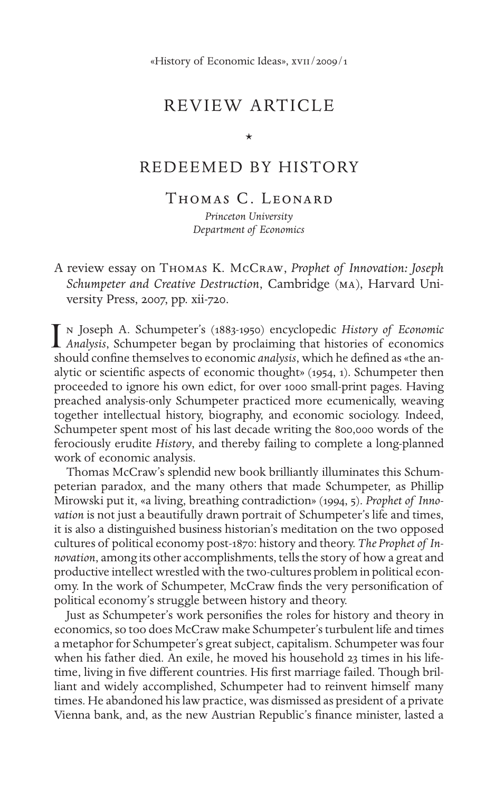## REVIEW ARTICLE

\*

### REDEEMED BY HISTORY

Thomas C. Leonard

*Princeton University Department of Economics*

A review essay on Thomas K. McCraw, *Prophet of Innovation: Joseph Schumpeter and Creative Destruction*, Cambridge (ma), Harvard University Press, 2007, pp. xii-720.

n Joseph A. Schumpeter's (1883-1950) encyclopedic *History of Economic Analysis*, Schumpeter's (1883-1950) encyclopedic *History of Economic Analysis*, Schumpeter began by proclaiming that histories of economics should confine themselves to economic *analysis*, which he defined as «the analytic or scientific aspects of economic thought» (1954, 1). Schumpeter then proceeded to ignore his own edict, for over 1000 small-print pages. Having preached analysis-only Schumpeter practiced more ecumenically, weaving together intellectual history, biography, and economic sociology. Indeed, Schumpeter spent most of his last decade writing the 800,000 words of the ferociously erudite *History*, and thereby failing to complete a long-planned work of economic analysis.

Thomas McCraw's splendid new book brilliantly illuminates this Schumpeterian paradox, and the many others that made Schumpeter, as Phillip Mirowski put it, «a living, breathing contradiction» (1994, 5). *Prophet of Innovation* is not just a beautifully drawn portrait of Schumpeter's life and times, it is also a distinguished business historian's meditation on the two opposed cultures of political economy post-1870: history and theory. *The Prophet of Innovation*, among its other accomplishments, tells the story of how a great and productive intellect wrestled with the two-cultures problem in political economy. In the work of Schumpeter, McCraw finds the very personification of political economy's struggle between history and theory.

Just as Schumpeter's work personifies the roles for history and theory in economics, so too does McCraw make Schumpeter's turbulent life and times a metaphor for Schumpeter's great subject, capitalism. Schumpeter was four when his father died. An exile, he moved his household 23 times in his lifetime, living in five different countries. His first marriage failed. Though brilliant and widely accomplished, Schumpeter had to reinvent himself many times. He abandoned his law practice, was dismissed as president of a private Vienna bank, and, as the new Austrian Republic's finance minister, lasted a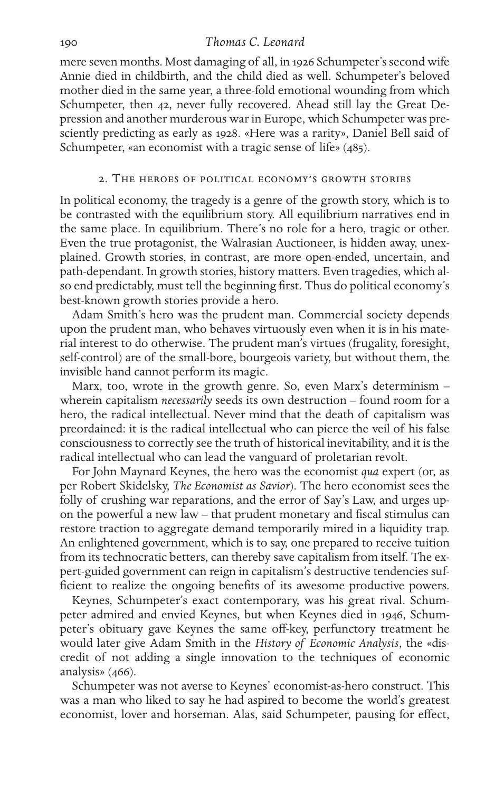#### 190 *Thomas C. Leonard*

mere seven months. Most damaging of all, in 1926 Schumpeter's second wife Annie died in childbirth, and the child died as well. Schumpeter's beloved mother died in the same year, a three-fold emotional wounding from which Schumpeter, then 42, never fully recovered. Ahead still lay the Great Depression and another murderous war in Europe, which Schumpeter was presciently predicting as early as 1928. «Here was a rarity», Daniel Bell said of Schumpeter, «an economist with a tragic sense of life» (485).

#### 2. The heroes of political economy's growth stories

In political economy, the tragedy is a genre of the growth story, which is to be contrasted with the equilibrium story. All equilibrium narratives end in the same place. In equilibrium. There's no role for a hero, tragic or other. Even the true protagonist, the Walrasian Auctioneer, is hidden away, unexplained. Growth stories, in contrast, are more open-ended, uncertain, and path-dependant. In growth stories, history matters. Even tragedies, which also end predictably, must tell the beginning first. Thus do political economy's best-known growth stories provide a hero.

Adam Smith's hero was the prudent man. Commercial society depends upon the prudent man, who behaves virtuously even when it is in his material interest to do otherwise. The prudent man's virtues (frugality, foresight, self-control) are of the small-bore, bourgeois variety, but without them, the invisible hand cannot perform its magic.

Marx, too, wrote in the growth genre. So, even Marx's determinism – wherein capitalism *necessarily* seeds its own destruction – found room for a hero, the radical intellectual. Never mind that the death of capitalism was preordained: it is the radical intellectual who can pierce the veil of his false consciousness to correctly see the truth of historical inevitability, and it is the radical intellectual who can lead the vanguard of proletarian revolt.

For John Maynard Keynes, the hero was the economist *qua* expert (or, as per Robert Skidelsky, *The Economist as Savior*). The hero economist sees the folly of crushing war reparations, and the error of Say's Law, and urges upon the powerful a new law – that prudent monetary and fiscal stimulus can restore traction to aggregate demand temporarily mired in a liquidity trap. An enlightened government, which is to say, one prepared to receive tuition from its technocratic betters, can thereby save capitalism from itself. The expert-guided government can reign in capitalism's destructive tendencies sufficient to realize the ongoing benefits of its awesome productive powers.

Keynes, Schumpeter's exact contemporary, was his great rival. Schumpeter admired and envied Keynes, but when Keynes died in 1946, Schumpeter's obituary gave Keynes the same off-key, perfunctory treatment he would later give Adam Smith in the *History of Economic Analysis*, the «discredit of not adding a single innovation to the techniques of economic analysis» (466).

Schumpeter was not averse to Keynes' economist-as-hero construct. This was a man who liked to say he had aspired to become the world's greatest economist, lover and horseman. Alas, said Schumpeter, pausing for effect,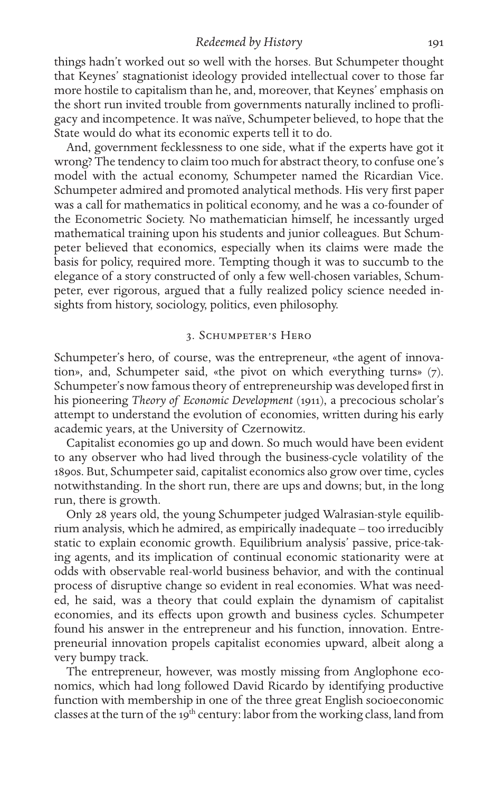#### *Redeemed by History* 191

things hadn't worked out so well with the horses. But Schumpeter thought that Keynes' stagnationist ideology provided intellectual cover to those far more hostile to capitalism than he, and, moreover, that Keynes' emphasis on the short run invited trouble from governments naturally inclined to profligacy and incompetence. It was naïve, Schumpeter believed, to hope that the State would do what its economic experts tell it to do.

And, government fecklessness to one side, what if the experts have got it wrong? The tendency to claim too much for abstract theory, to confuse one's model with the actual economy, Schumpeter named the Ricardian Vice. Schumpeter admired and promoted analytical methods. His very first paper was a call for mathematics in political economy, and he was a co-founder of the Econometric Society. No mathematician himself, he incessantly urged mathematical training upon his students and junior colleagues. But Schumpeter believed that economics, especially when its claims were made the basis for policy, required more. Tempting though it was to succumb to the elegance of a story constructed of only a few well-chosen variables, Schumpeter, ever rigorous, argued that a fully realized policy science needed insights from history, sociology, politics, even philosophy.

#### 3. Schumpeter's Hero

Schumpeter's hero, of course, was the entrepreneur, «the agent of innovation», and, Schumpeter said, «the pivot on which everything turns» (7). Schumpeter's now famous theory of entrepreneurship was developed first in his pioneering *Theory of Economic Development* (1911), a precocious scholar's attempt to understand the evolution of economies, written during his early academic years, at the University of Czernowitz.

Capitalist economies go up and down. So much would have been evident to any observer who had lived through the business-cycle volatility of the 1890s. But, Schumpeter said, capitalist economics also grow over time, cycles notwithstanding. In the short run, there are ups and downs; but, in the long run, there is growth.

Only 28 years old, the young Schumpeter judged Walrasian-style equilibrium analysis, which he admired, as empirically inadequate – too irreducibly static to explain economic growth. Equilibrium analysis' passive, price-taking agents, and its implication of continual economic stationarity were at odds with observable real-world business behavior, and with the continual process of disruptive change so evident in real economies. What was needed, he said, was a theory that could explain the dynamism of capitalist economies, and its effects upon growth and business cycles. Schumpeter found his answer in the entrepreneur and his function, innovation. Entrepreneurial innovation propels capitalist economies upward, albeit along a very bumpy track.

The entrepreneur, however, was mostly missing from Anglophone economics, which had long followed David Ricardo by identifying productive function with membership in one of the three great English socioeconomic classes at the turn of the 19<sup>th</sup> century: labor from the working class, land from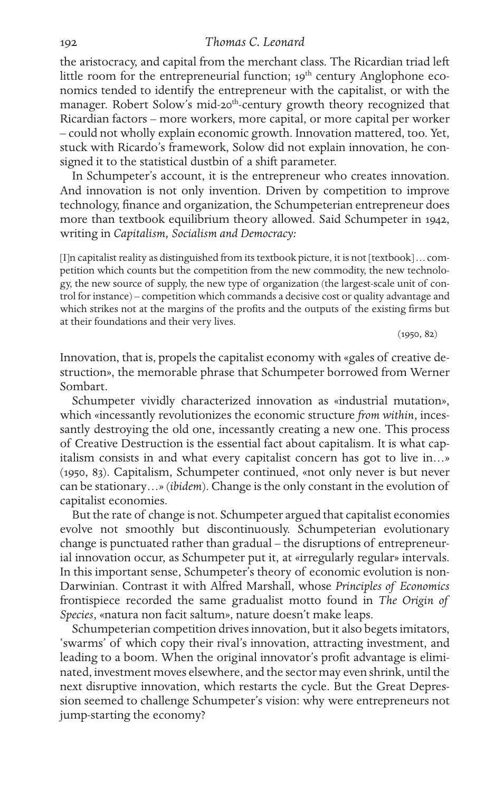#### 192 *Thomas C. Leonard*

the aristocracy, and capital from the merchant class. The Ricardian triad left little room for the entrepreneurial function; 19<sup>th</sup> century Anglophone economics tended to identify the entrepreneur with the capitalist, or with the manager. Robert Solow's mid-20<sup>th</sup>-century growth theory recognized that Ricardian factors – more workers, more capital, or more capital per worker – could not wholly explain economic growth. Innovation mattered, too. Yet, stuck with Ricardo's framework, Solow did not explain innovation, he consigned it to the statistical dustbin of a shift parameter.

In Schumpeter's account, it is the entrepreneur who creates innovation. And innovation is not only invention. Driven by competition to improve technology, finance and organization, the Schumpeterian entrepreneur does more than textbook equilibrium theory allowed. Said Schumpeter in 1942, writing in *Capitalism, Socialism and Democracy:*

[I]n capitalist reality as distinguished from its textbook picture, it is not [textbook] … competition which counts but the competition from the new commodity, the new technology, the new source of supply, the new type of organization (the largest-scale unit of control for instance) – competition which commands a decisive cost or quality advantage and which strikes not at the margins of the profits and the outputs of the existing firms but at their foundations and their very lives.

 $(1950, 82)$ 

Innovation, that is, propels the capitalist economy with «gales of creative destruction», the memorable phrase that Schumpeter borrowed from Werner Sombart.

Schumpeter vividly characterized innovation as «industrial mutation», which «incessantly revolutionizes the economic structure *from within*, incessantly destroying the old one, incessantly creating a new one. This process of Creative Destruction is the essential fact about capitalism. It is what capitalism consists in and what every capitalist concern has got to live in…» (1950, 83). Capitalism, Schumpeter continued, «not only never is but never can be stationary…» (*ibidem*). Change is the only constant in the evolution of capitalist economies.

But the rate of change is not. Schumpeter argued that capitalist economies evolve not smoothly but discontinuously. Schumpeterian evolutionary change is punctuated rather than gradual – the disruptions of entrepreneurial innovation occur, as Schumpeter put it, at «irregularly regular» intervals. In this important sense, Schumpeter's theory of economic evolution is non-Darwinian. Contrast it with Alfred Marshall, whose *Principles of Economics* frontispiece recorded the same gradualist motto found in *The Origin of Species*, «natura non facit saltum», nature doesn't make leaps.

Schumpeterian competition drives innovation, but it also begets imitators, 'swarms' of which copy their rival's innovation, attracting investment, and leading to a boom. When the original innovator's profit advantage is eliminated, investment moves elsewhere, and the sector may even shrink, until the next disruptive innovation, which restarts the cycle. But the Great Depression seemed to challenge Schumpeter's vision: why were entrepreneurs not jump-starting the economy?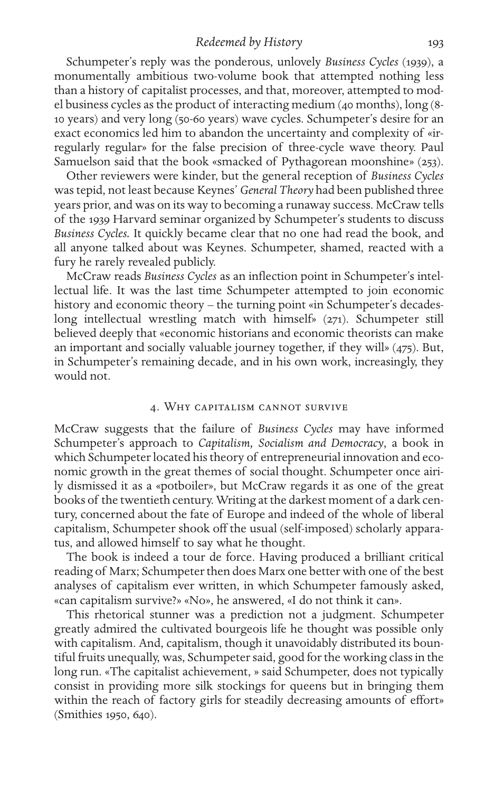#### *Redeemed by History* 193

Schumpeter's reply was the ponderous, unlovely *Business Cycles* (1939), a monumentally ambitious two-volume book that attempted nothing less than a history of capitalist processes, and that, moreover, attempted to model business cycles as the product of interacting medium (40 months), long (8- 10 years) and very long (50-60 years) wave cycles. Schumpeter's desire for an exact economics led him to abandon the uncertainty and complexity of «irregularly regular» for the false precision of three-cycle wave theory. Paul Samuelson said that the book «smacked of Pythagorean moonshine» (253).

Other reviewers were kinder, but the general reception of *Business Cycles* was tepid, not least because Keynes' *General Theory* had been published three years prior, and was on its way to becoming a runaway success. McCraw tells of the 1939 Harvard seminar organized by Schumpeter's students to discuss *Business Cycles.* It quickly became clear that no one had read the book, and all anyone talked about was Keynes. Schumpeter, shamed, reacted with a fury he rarely revealed publicly.

McCraw reads *Business Cycles* as an inflection point in Schumpeter's intellectual life. It was the last time Schumpeter attempted to join economic history and economic theory – the turning point «in Schumpeter's decadeslong intellectual wrestling match with himself» (271). Schumpeter still believed deeply that «economic historians and economic theorists can make an important and socially valuable journey together, if they will» (475). But, in Schumpeter's remaining decade, and in his own work, increasingly, they would not.

#### 4. Why capitalism cannot survive

McCraw suggests that the failure of *Business Cycles* may have informed Schumpeter's approach to *Capitalism, Socialism and Democracy*, a book in which Schumpeter located his theory of entrepreneurial innovation and economic growth in the great themes of social thought. Schumpeter once airily dismissed it as a «potboiler», but McCraw regards it as one of the great books of the twentieth century. Writing at the darkest moment of a dark century, concerned about the fate of Europe and indeed of the whole of liberal capitalism, Schumpeter shook off the usual (self-imposed) scholarly apparatus, and allowed himself to say what he thought.

The book is indeed a tour de force. Having produced a brilliant critical reading of Marx; Schumpeter then does Marx one better with one of the best analyses of capitalism ever written, in which Schumpeter famously asked, «can capitalism survive?» «No», he answered, «I do not think it can».

This rhetorical stunner was a prediction not a judgment. Schumpeter greatly admired the cultivated bourgeois life he thought was possible only with capitalism. And, capitalism, though it unavoidably distributed its bountiful fruits unequally, was, Schumpeter said, good for the working class in the long run. «The capitalist achievement, » said Schumpeter, does not typically consist in providing more silk stockings for queens but in bringing them within the reach of factory girls for steadily decreasing amounts of effort» (Smithies 1950, 640).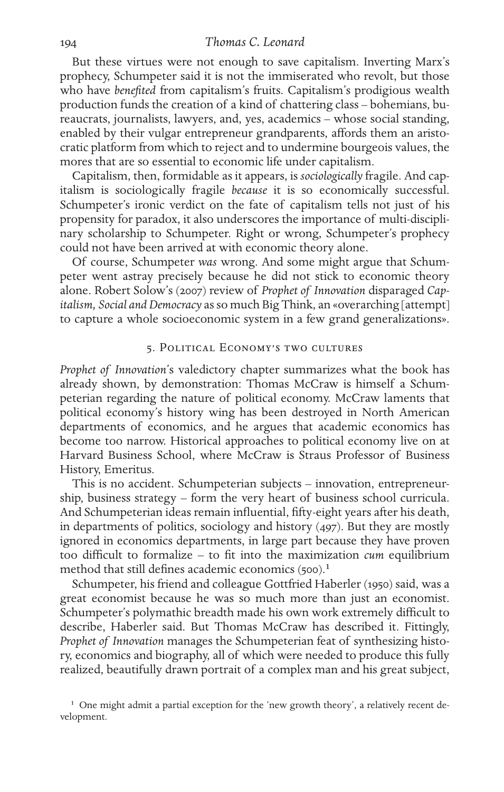#### 194 *Thomas C. Leonard*

But these virtues were not enough to save capitalism. Inverting Marx's prophecy, Schumpeter said it is not the immiserated who revolt, but those who have *benefited* from capitalism's fruits. Capitalism's prodigious wealth production funds the creation of a kind of chattering class – bohemians, bureaucrats, journalists, lawyers, and, yes, academics – whose social standing, enabled by their vulgar entrepreneur grandparents, affords them an aristocratic platform from which to reject and to undermine bourgeois values, the mores that are so essential to economic life under capitalism.

Capitalism, then, formidable as it appears, is *sociologically* fragile. And capitalism is sociologically fragile *because* it is so economically successful. Schumpeter's ironic verdict on the fate of capitalism tells not just of his propensity for paradox, it also underscores the importance of multi-disciplinary scholarship to Schumpeter. Right or wrong, Schumpeter's prophecy could not have been arrived at with economic theory alone.

Of course, Schumpeter *was* wrong. And some might argue that Schumpeter went astray precisely because he did not stick to economic theory alone. Robert Solow's (2007) review of *Prophet of Innovation* disparaged *Capitalism, Social and Democracy* as so much Big Think, an «overarching [attempt] to capture a whole socioeconomic system in a few grand generalizations».

#### 5. Political Economy's two cultures

*Prophet of Innovation*'s valedictory chapter summarizes what the book has already shown, by demonstration: Thomas McCraw is himself a Schumpeterian regarding the nature of political economy. McCraw laments that political economy's history wing has been destroyed in North American departments of economics, and he argues that academic economics has become too narrow. Historical approaches to political economy live on at Harvard Business School, where McCraw is Straus Professor of Business History, Emeritus.

This is no accident. Schumpeterian subjects – innovation, entrepreneurship, business strategy – form the very heart of business school curricula. And Schumpeterian ideas remain influential, fifty-eight years after his death, in departments of politics, sociology and history (497). But they are mostly ignored in economics departments, in large part because they have proven too difficult to formalize – to fit into the maximization *cum* equilibrium method that still defines academic economics (500).<sup>1</sup>

Schumpeter, his friend and colleague Gottfried Haberler (1950) said, was a great economist because he was so much more than just an economist. Schumpeter's polymathic breadth made his own work extremely difficult to describe, Haberler said. But Thomas McCraw has described it. Fittingly, *Prophet of Innovation* manages the Schumpeterian feat of synthesizing history, economics and biography, all of which were needed to produce this fully realized, beautifully drawn portrait of a complex man and his great subject,

<sup>1</sup> One might admit a partial exception for the 'new growth theory', a relatively recent development.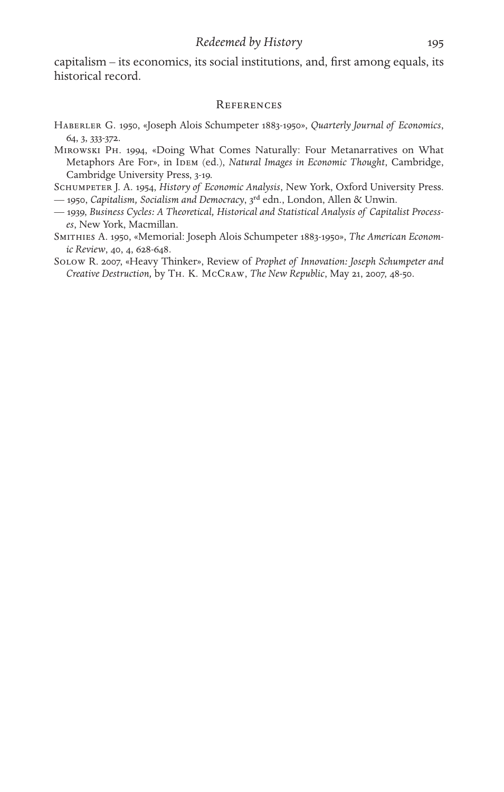capitalism – its economics, its social institutions, and, first among equals, its historical record.

#### **REFERENCES**

- Haberler G. 1950, «Joseph Alois Schumpeter 1883-1950», *Quarterly Journal of Economics*, 64, 3, 333-372.
- Mirowski Ph. 1994, «Doing What Comes Naturally: Four Metanarratives on What Metaphors Are For», in IDEM (ed.), *Natural Images in Economic Thought*, Cambridge, Cambridge University Press, 3-19.
- Schumpeter J. A. 1954, *History of Economic Analysis*, New York, Oxford University Press.
- 1950, *Capitalism, Socialism and Democracy*, 3rd edn., London, Allen & Unwin.
- 1939, *Business Cycles: A Theoretical, Historical and Statistical Analysis of Capitalist Processes*, New York, Macmillan.
- Smithies A. 1950, «Memorial: Joseph Alois Schumpeter 1883-1950», *The American Economic Review*, 40, 4, 628-648.
- Solow R. 2007, «Heavy Thinker», Review of *Prophet of Innovation: Joseph Schumpeter and Creative Destruction,* by Th. K. McCraw, *The New Republic*, May 21, 2007, 48-50.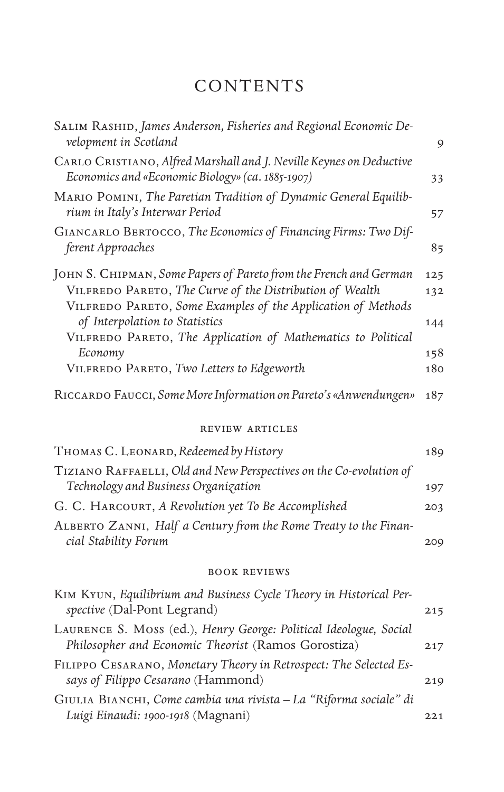# CONTENTS

| SALIM RASHID, James Anderson, Fisheries and Regional Economic De-<br>velopment in Scotland                               | 9          |
|--------------------------------------------------------------------------------------------------------------------------|------------|
| CARLO CRISTIANO, Alfred Marshall and J. Neville Keynes on Deductive<br>Economics and «Economic Biology» (ca. 1885-1907)  | 33         |
| MARIO POMINI, The Paretian Tradition of Dynamic General Equilib-<br>rium in Italy's Interwar Period                      | 57         |
| GIANCARLO BERTOCCO, The Economics of Financing Firms: Two Dif-<br>ferent Approaches                                      | 85         |
| JOHN S. CHIPMAN, Some Papers of Pareto from the French and German                                                        | 125        |
| VILFREDO PARETO, The Curve of the Distribution of Wealth<br>VILFREDO PARETO, Some Examples of the Application of Methods | 132        |
| of Interpolation to Statistics<br>VILFREDO PARETO, The Application of Mathematics to Political                           | 144        |
| Economy<br>VILFREDO PARETO, Two Letters to Edgeworth                                                                     | 158<br>180 |
|                                                                                                                          |            |
| RICCARDO FAUCCI, Some More Information on Pareto's «Anwendungen»                                                         | 187        |
| <b>REVIEW ARTICLES</b>                                                                                                   |            |
| THOMAS C. LEONARD, Redeemed by History                                                                                   | 189        |
| TIZIANO RAFFAELLI, Old and New Perspectives on the Co-evolution of<br>Technology and Business Organization               | 197        |
| G. C. HARCOURT, A Revolution yet To Be Accomplished                                                                      | 203        |
| ALBERTO ZANNI, Half a Century from the Rome Treaty to the Finan-<br>cial Stability Forum                                 | 209        |
|                                                                                                                          |            |
| <b>BOOK REVIEWS</b>                                                                                                      |            |
| KIM KYUN, Equilibrium and Business Cycle Theory in Historical Per-<br>spective (Dal-Pont Legrand)                        | 215        |
| LAURENCE S. MOSS (ed.), Henry George: Political Ideologue, Social<br>Philosopher and Economic Theorist (Ramos Gorostiza) | 217        |
| FILIPPO CESARANO, Monetary Theory in Retrospect: The Selected Es-<br>says of Filippo Cesarano (Hammond)                  | 219        |
| GIULIA BIANCHI, Come cambia una rivista - La "Riforma sociale" di<br>Luigi Einaudi: 1900-1918 (Magnani)                  | 221        |
|                                                                                                                          |            |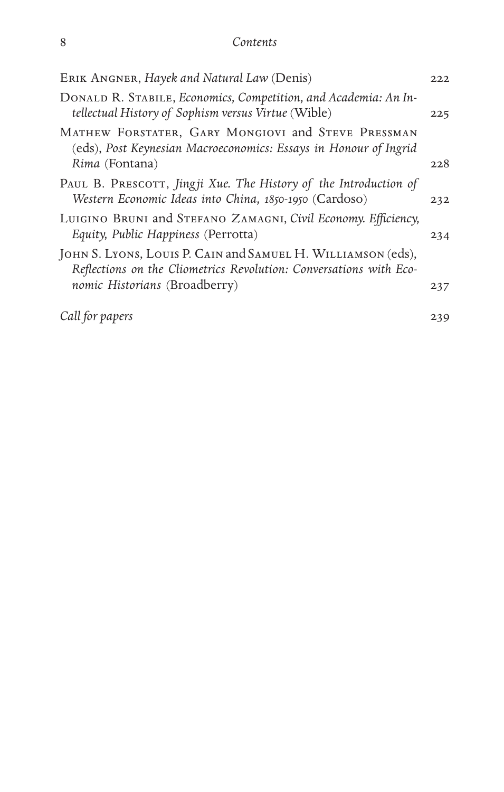| ERIK ANGNER, Hayek and Natural Law (Denis)                                                                                                      | 222 |
|-------------------------------------------------------------------------------------------------------------------------------------------------|-----|
| DONALD R. STABILE, Economics, Competition, and Academia: An In-<br>tellectual History of Sophism versus Virtue (Wible)                          | 225 |
| MATHEW FORSTATER, GARY MONGIOVI and STEVE PRESSMAN<br>(eds), Post Keynesian Macroeconomics: Essays in Honour of Ingrid<br><i>Rima</i> (Fontana) | 228 |
| PAUL B. PRESCOTT, Jingji Xue. The History of the Introduction of<br>Western Economic Ideas into China, 1850-1950 (Cardoso)                      | 232 |
| LUIGINO BRUNI and STEFANO ZAMAGNI, Civil Economy. Efficiency,<br>Equity, Public Happiness (Perrotta)                                            | 234 |
| JOHN S. LYONS, LOUIS P. CAIN and SAMUEL H. WILLIAMSON (eds),<br>Reflections on the Cliometrics Revolution: Conversations with Eco-              |     |
| nomic Historians (Broadberry)                                                                                                                   | 237 |
| Call for papers                                                                                                                                 | 239 |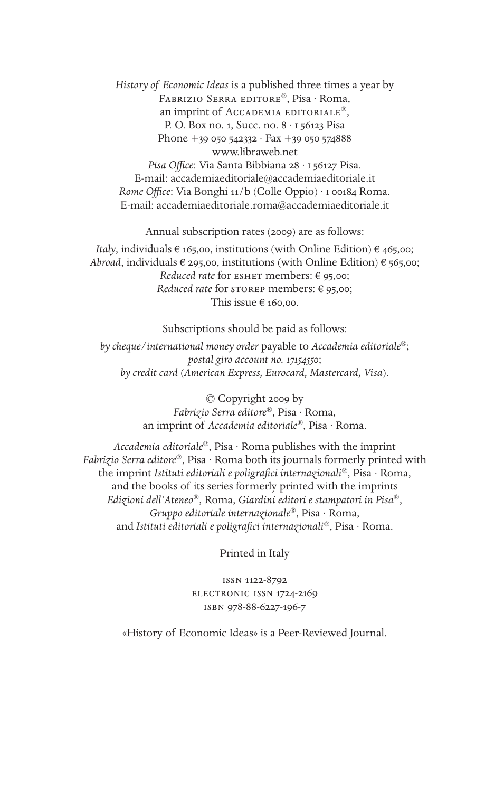*History of Economic Ideas* is a published three times a year by Fabrizio Serra editore®, Pisa · Roma, an imprint of Accademia editoriale®, P. O. Box no. 1, Succ. no. 8 · i 56123 Pisa Phone  $+3999542332 \cdot Fax + 39959574888$ www.libraweb.net *Pisa Office*: Via Santa Bibbiana 28 · i 56127 Pisa. E-mail: accademiaeditoriale@accademiaeditoriale.it *Rome Office*: Via Bonghi 11/b (Colle Oppio) · i 00184 Roma. E-mail: accademiaeditoriale.roma@accademiaeditoriale.it

Annual subscription rates (2009) are as follows:

*Italy*, individuals  $\epsilon$  165,00, institutions (with Online Edition)  $\epsilon$  465,00; *Abroad*, individuals  $\epsilon$  295,00, institutions (with Online Edition)  $\epsilon$  565,00; *Reduced rate* for ESHET members: € 95,00; *Reduced rate* for storep members: € 95,00; This issue € 160,00.

Subscriptions should be paid as follows:

*by cheque/international money order* payable to *Accademia editoriale*®; *postal giro account no. 17154550*; *by credit card* (*American Express, Eurocard, Mastercard, Visa*).

> © Copyright 2009 by *Fabrizio Serra editore*®, Pisa · Roma, an imprint of *Accademia editoriale*®, Pisa · Roma.

*Accademia editoriale*®, Pisa · Roma publishes with the imprint *Fabrizio Serra editore*®, Pisa · Roma both its journals formerly printed with the imprint *Istituti editoriali e poligrafici internazionali*®, Pisa · Roma, and the books of its series formerly printed with the imprints *Edizioni dell'Ateneo*®, Roma, *Giardini editori e stampatori in Pisa*®, *Gruppo editoriale internazionale*®, Pisa · Roma, and *Istituti editoriali e poligrafici internazionali*®, Pisa · Roma.

Printed in Italy

issn 1122-8792 electronic issn 1724-2169 isbn 978-88-6227-196-7

«History of Economic Ideas» is a Peer-Reviewed Journal.